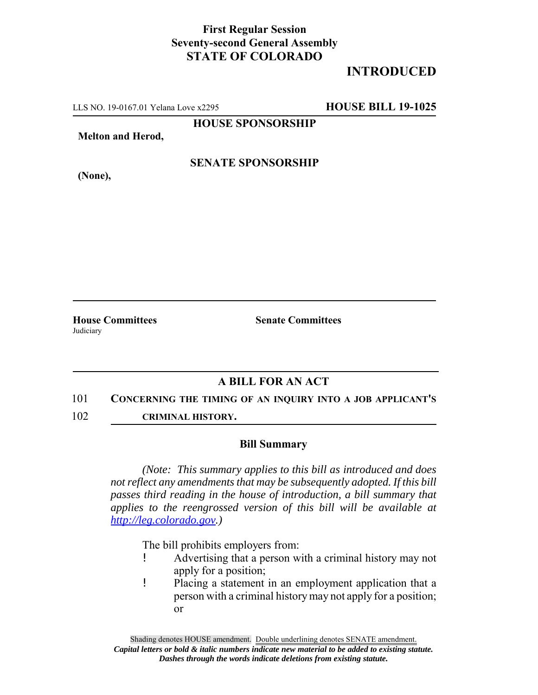## **First Regular Session Seventy-second General Assembly STATE OF COLORADO**

## **INTRODUCED**

LLS NO. 19-0167.01 Yelana Love x2295 **HOUSE BILL 19-1025**

**HOUSE SPONSORSHIP**

**Melton and Herod,**

**(None),**

**SENATE SPONSORSHIP**

**House Committees Senate Committees** Judiciary

## **A BILL FOR AN ACT**

- 101 **CONCERNING THE TIMING OF AN INQUIRY INTO A JOB APPLICANT'S**
- 102 **CRIMINAL HISTORY.**

## **Bill Summary**

*(Note: This summary applies to this bill as introduced and does not reflect any amendments that may be subsequently adopted. If this bill passes third reading in the house of introduction, a bill summary that applies to the reengrossed version of this bill will be available at http://leg.colorado.gov.)*

The bill prohibits employers from:

- ! Advertising that a person with a criminal history may not apply for a position;
- ! Placing a statement in an employment application that a person with a criminal history may not apply for a position; or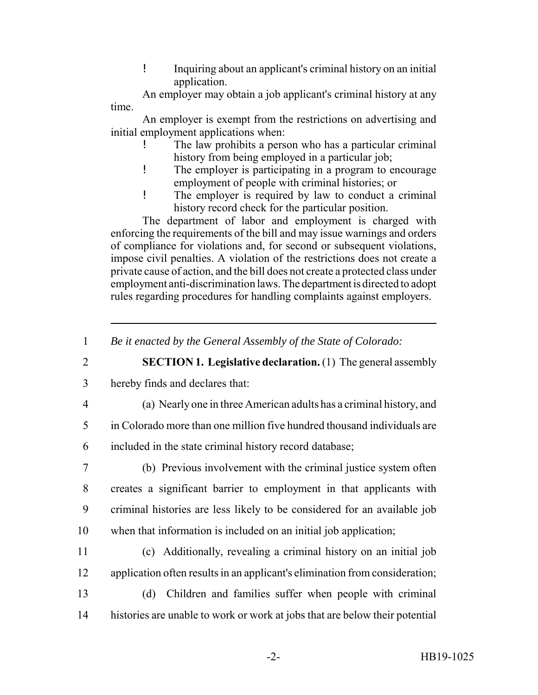! Inquiring about an applicant's criminal history on an initial application.

An employer may obtain a job applicant's criminal history at any time.

An employer is exempt from the restrictions on advertising and initial employment applications when:

- The law prohibits a person who has a particular criminal history from being employed in a particular job;
- ! The employer is participating in a program to encourage employment of people with criminal histories; or
- ! The employer is required by law to conduct a criminal history record check for the particular position.

The department of labor and employment is charged with enforcing the requirements of the bill and may issue warnings and orders of compliance for violations and, for second or subsequent violations, impose civil penalties. A violation of the restrictions does not create a private cause of action, and the bill does not create a protected class under employment anti-discrimination laws. The department is directed to adopt rules regarding procedures for handling complaints against employers.

2 **SECTION 1. Legislative declaration.** (1) The general assembly

- 3 hereby finds and declares that:
- 

4 (a) Nearly one in three American adults has a criminal history, and

5 in Colorado more than one million five hundred thousand individuals are 6 included in the state criminal history record database;

 (b) Previous involvement with the criminal justice system often creates a significant barrier to employment in that applicants with criminal histories are less likely to be considered for an available job when that information is included on an initial job application;

- 11 (c) Additionally, revealing a criminal history on an initial job 12 application often results in an applicant's elimination from consideration;
- 13 (d) Children and families suffer when people with criminal 14 histories are unable to work or work at jobs that are below their potential

<sup>1</sup> *Be it enacted by the General Assembly of the State of Colorado:*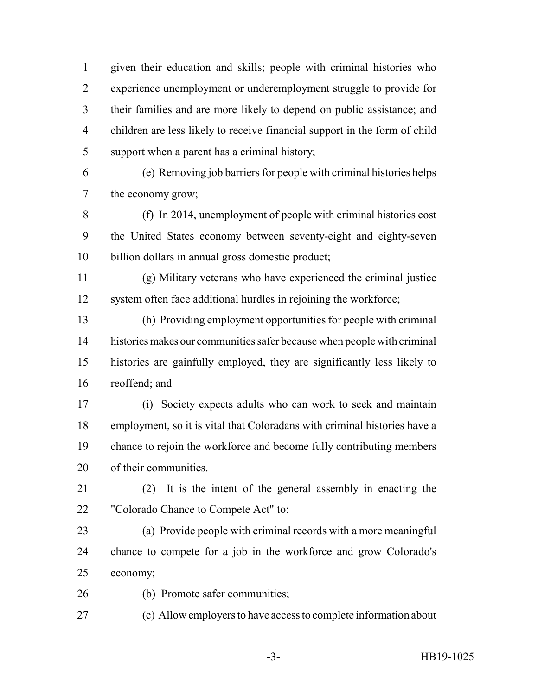given their education and skills; people with criminal histories who experience unemployment or underemployment struggle to provide for their families and are more likely to depend on public assistance; and children are less likely to receive financial support in the form of child support when a parent has a criminal history;

 (e) Removing job barriers for people with criminal histories helps the economy grow;

 (f) In 2014, unemployment of people with criminal histories cost the United States economy between seventy-eight and eighty-seven billion dollars in annual gross domestic product;

 (g) Military veterans who have experienced the criminal justice system often face additional hurdles in rejoining the workforce;

 (h) Providing employment opportunities for people with criminal histories makes our communities safer because when people with criminal histories are gainfully employed, they are significantly less likely to reoffend; and

 (i) Society expects adults who can work to seek and maintain employment, so it is vital that Coloradans with criminal histories have a chance to rejoin the workforce and become fully contributing members of their communities.

- (2) It is the intent of the general assembly in enacting the "Colorado Chance to Compete Act" to:
- (a) Provide people with criminal records with a more meaningful chance to compete for a job in the workforce and grow Colorado's economy;
- (b) Promote safer communities;
- (c) Allow employers to have access to complete information about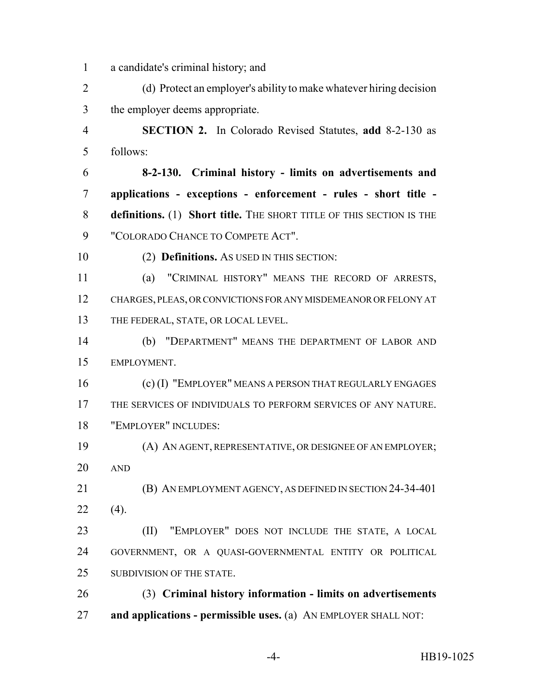a candidate's criminal history; and

 (d) Protect an employer's ability to make whatever hiring decision the employer deems appropriate.

 **SECTION 2.** In Colorado Revised Statutes, **add** 8-2-130 as follows:

 **8-2-130. Criminal history - limits on advertisements and applications - exceptions - enforcement - rules - short title - definitions.** (1) **Short title.** THE SHORT TITLE OF THIS SECTION IS THE "COLORADO CHANCE TO COMPETE ACT".

(2) **Definitions.** AS USED IN THIS SECTION:

 (a) "CRIMINAL HISTORY" MEANS THE RECORD OF ARRESTS, CHARGES, PLEAS, OR CONVICTIONS FOR ANY MISDEMEANOR OR FELONY AT THE FEDERAL, STATE, OR LOCAL LEVEL.

 (b) "DEPARTMENT" MEANS THE DEPARTMENT OF LABOR AND EMPLOYMENT.

 (c) (I) "EMPLOYER" MEANS A PERSON THAT REGULARLY ENGAGES THE SERVICES OF INDIVIDUALS TO PERFORM SERVICES OF ANY NATURE. "EMPLOYER" INCLUDES:

 (A) AN AGENT, REPRESENTATIVE, OR DESIGNEE OF AN EMPLOYER; AND

 (B) AN EMPLOYMENT AGENCY, AS DEFINED IN SECTION 24-34-401 (4).

 (II) "EMPLOYER" DOES NOT INCLUDE THE STATE, A LOCAL GOVERNMENT, OR A QUASI-GOVERNMENTAL ENTITY OR POLITICAL SUBDIVISION OF THE STATE.

 (3) **Criminal history information - limits on advertisements and applications - permissible uses.** (a) AN EMPLOYER SHALL NOT: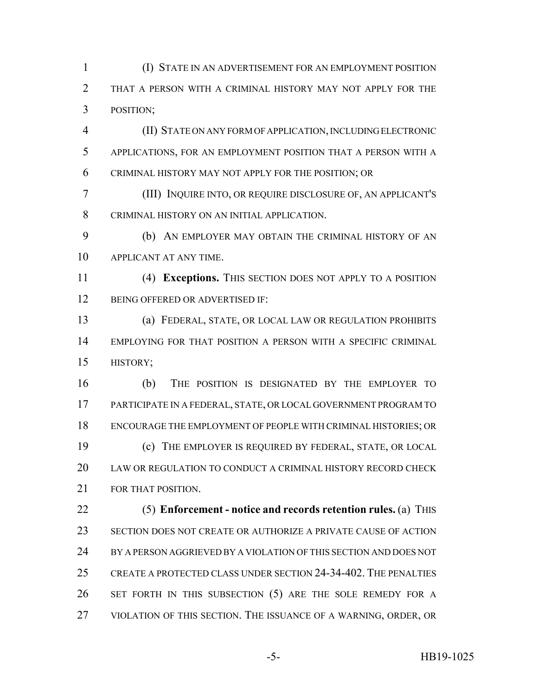(I) STATE IN AN ADVERTISEMENT FOR AN EMPLOYMENT POSITION THAT A PERSON WITH A CRIMINAL HISTORY MAY NOT APPLY FOR THE POSITION;

 (II) STATE ON ANY FORM OF APPLICATION, INCLUDING ELECTRONIC APPLICATIONS, FOR AN EMPLOYMENT POSITION THAT A PERSON WITH A CRIMINAL HISTORY MAY NOT APPLY FOR THE POSITION; OR

 (III) INQUIRE INTO, OR REQUIRE DISCLOSURE OF, AN APPLICANT'S CRIMINAL HISTORY ON AN INITIAL APPLICATION.

 (b) AN EMPLOYER MAY OBTAIN THE CRIMINAL HISTORY OF AN APPLICANT AT ANY TIME.

 (4) **Exceptions.** THIS SECTION DOES NOT APPLY TO A POSITION 12 BEING OFFERED OR ADVERTISED IF:

 (a) FEDERAL, STATE, OR LOCAL LAW OR REGULATION PROHIBITS EMPLOYING FOR THAT POSITION A PERSON WITH A SPECIFIC CRIMINAL HISTORY;

 (b) THE POSITION IS DESIGNATED BY THE EMPLOYER TO PARTICIPATE IN A FEDERAL, STATE, OR LOCAL GOVERNMENT PROGRAM TO ENCOURAGE THE EMPLOYMENT OF PEOPLE WITH CRIMINAL HISTORIES; OR (c) THE EMPLOYER IS REQUIRED BY FEDERAL, STATE, OR LOCAL LAW OR REGULATION TO CONDUCT A CRIMINAL HISTORY RECORD CHECK FOR THAT POSITION.

 (5) **Enforcement - notice and records retention rules.** (a) THIS SECTION DOES NOT CREATE OR AUTHORIZE A PRIVATE CAUSE OF ACTION BY A PERSON AGGRIEVED BY A VIOLATION OF THIS SECTION AND DOES NOT CREATE A PROTECTED CLASS UNDER SECTION 24-34-402. THE PENALTIES 26 SET FORTH IN THIS SUBSECTION (5) ARE THE SOLE REMEDY FOR A VIOLATION OF THIS SECTION. THE ISSUANCE OF A WARNING, ORDER, OR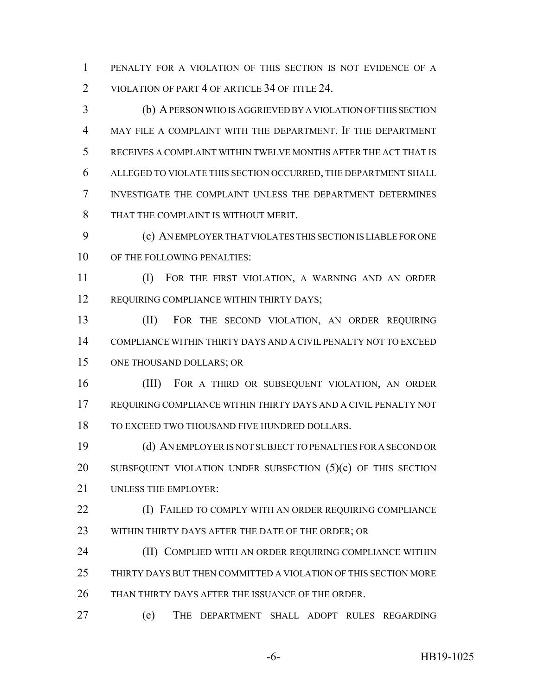PENALTY FOR A VIOLATION OF THIS SECTION IS NOT EVIDENCE OF A 2 VIOLATION OF PART 4 OF ARTICLE 34 OF TITLE 24.

 (b) A PERSON WHO IS AGGRIEVED BY A VIOLATION OF THIS SECTION MAY FILE A COMPLAINT WITH THE DEPARTMENT. IF THE DEPARTMENT RECEIVES A COMPLAINT WITHIN TWELVE MONTHS AFTER THE ACT THAT IS ALLEGED TO VIOLATE THIS SECTION OCCURRED, THE DEPARTMENT SHALL INVESTIGATE THE COMPLAINT UNLESS THE DEPARTMENT DETERMINES THAT THE COMPLAINT IS WITHOUT MERIT.

 (c) AN EMPLOYER THAT VIOLATES THIS SECTION IS LIABLE FOR ONE 10 OF THE FOLLOWING PENALTIES:

 (I) FOR THE FIRST VIOLATION, A WARNING AND AN ORDER 12 REQUIRING COMPLIANCE WITHIN THIRTY DAYS;

 (II) FOR THE SECOND VIOLATION, AN ORDER REQUIRING COMPLIANCE WITHIN THIRTY DAYS AND A CIVIL PENALTY NOT TO EXCEED ONE THOUSAND DOLLARS; OR

 (III) FOR A THIRD OR SUBSEQUENT VIOLATION, AN ORDER REQUIRING COMPLIANCE WITHIN THIRTY DAYS AND A CIVIL PENALTY NOT 18 TO EXCEED TWO THOUSAND FIVE HUNDRED DOLLARS.

 (d) AN EMPLOYER IS NOT SUBJECT TO PENALTIES FOR A SECOND OR 20 SUBSEQUENT VIOLATION UNDER SUBSECTION (5)(c) OF THIS SECTION UNLESS THE EMPLOYER:

**(I) FAILED TO COMPLY WITH AN ORDER REQUIRING COMPLIANCE** 23 WITHIN THIRTY DAYS AFTER THE DATE OF THE ORDER; OR

 (II) COMPLIED WITH AN ORDER REQUIRING COMPLIANCE WITHIN THIRTY DAYS BUT THEN COMMITTED A VIOLATION OF THIS SECTION MORE THAN THIRTY DAYS AFTER THE ISSUANCE OF THE ORDER.

(e) THE DEPARTMENT SHALL ADOPT RULES REGARDING